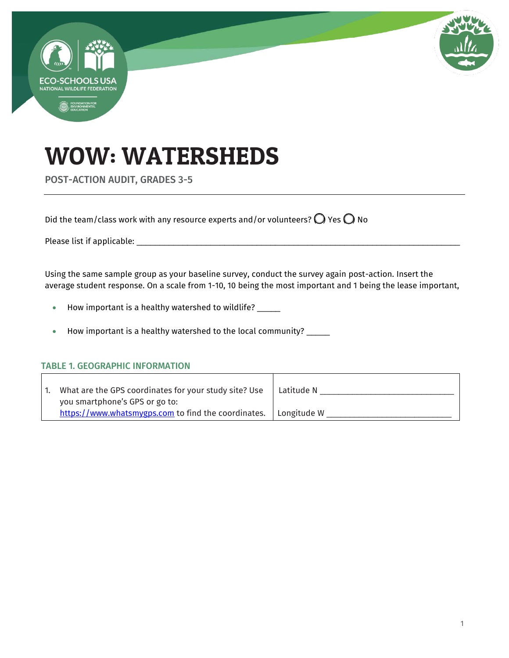

# WOW: WATERSHEDS

POST-ACTION AUDIT, GRADES 3-5

Did the team/class work with any resource experts and/or volunteers?  $\bigcirc$  Yes  $\bigcirc$  No

Please list if applicable: \_\_\_\_\_\_\_\_\_\_\_\_\_\_\_\_\_\_\_\_\_\_\_\_\_\_\_\_\_\_\_\_\_\_\_\_\_\_\_\_\_\_\_\_\_\_\_\_\_\_\_\_\_\_\_\_\_\_\_\_\_\_\_\_\_\_\_\_\_\_

Using the same sample group as your baseline survey, conduct the survey again post-action. Insert the average student response. On a scale from 1-10, 10 being the most important and 1 being the lease important,

- How important is a healthy watershed to wildlife? \_\_\_\_\_
- How important is a healthy watershed to the local community? \_\_\_\_\_

#### TABLE 1. GEOGRAPHIC INFORMATION

| What are the GPS coordinates for your study site? Use<br>you smartphone's GPS or go to: | Latitude N  |
|-----------------------------------------------------------------------------------------|-------------|
| https://www.whatsmygps.com to find the coordinates.                                     | Longitude W |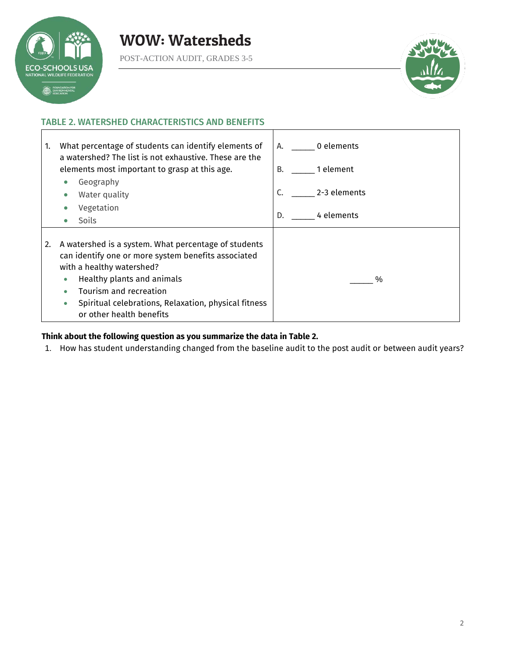

POST-ACTION AUDIT, GRADES 3-5



#### TABLE 2. WATERSHED CHARACTERISTICS AND BENEFITS

| 1. | What percentage of students can identify elements of<br>a watershed? The list is not exhaustive. These are the                                                                                                                                                                                                 | A. 0 elements      |
|----|----------------------------------------------------------------------------------------------------------------------------------------------------------------------------------------------------------------------------------------------------------------------------------------------------------------|--------------------|
|    | elements most important to grasp at this age.                                                                                                                                                                                                                                                                  | 1 element<br>B.    |
|    | Geography<br>$\bullet$                                                                                                                                                                                                                                                                                         |                    |
|    | Water quality                                                                                                                                                                                                                                                                                                  | C.<br>2-3 elements |
|    | Vegetation                                                                                                                                                                                                                                                                                                     |                    |
|    | <b>Soils</b><br>$\bullet$                                                                                                                                                                                                                                                                                      | 4 elements<br>D.   |
| 2. | A watershed is a system. What percentage of students<br>can identify one or more system benefits associated<br>with a healthy watershed?<br>Healthy plants and animals<br>$\bullet$<br>Tourism and recreation<br>Spiritual celebrations, Relaxation, physical fitness<br>$\bullet$<br>or other health benefits | $\%$               |

#### **Think about the following question as you summarize the data in Table 2.**

1. How has student understanding changed from the baseline audit to the post audit or between audit years?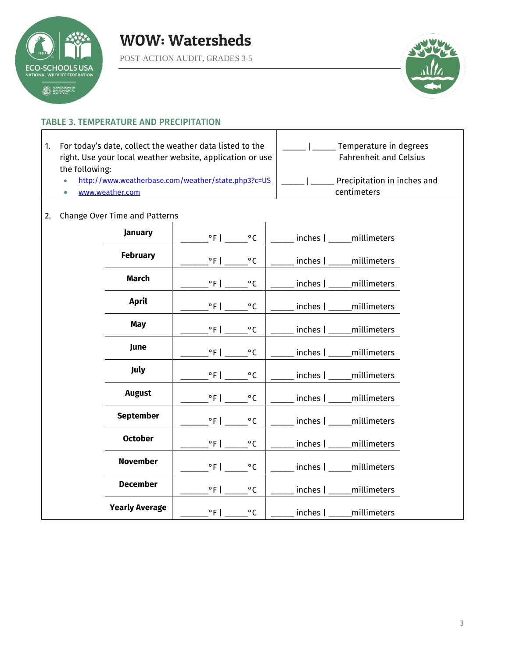

POST-ACTION AUDIT, GRADES 3-5



#### TABLE 3. TEMPERATURE AND PRECIPITATION

- 1. For today's date, collect the weather data listed to the right. Use your local weather website, application or use the following:
	- <http://www.weatherbase.com/weather/state.php3?c=US>
	- [www.weather.com](http://www.weather.com/)

| Temperature in degrees<br><b>Fahrenheit and Celsius</b> |  |
|---------------------------------------------------------|--|
| Precipitation in inches and<br>centimeters              |  |

#### 2. Change Over Time and Patterns

| January               | $^{\circ}$ F  <br>$^{\circ}$ C                 | __ inches   ____ millimeters  |
|-----------------------|------------------------------------------------|-------------------------------|
| <b>February</b>       | $^{\circ}$ F  <br>$^{\circ}$ C                 | inches   _____ millimeters    |
| <b>March</b>          | $^{\circ}$ F   $\qquad \qquad$<br>$^{\circ}$ C | inches   _____ millimeters    |
| April                 | $^{\circ}$ F  <br>$^{\circ}$ C                 | _inches   _____millimeters    |
| May                   | $^{\circ}$ C                                   | _inches   _____ millimeters   |
| June                  | $\degree$ F   $\_$<br>$^{\circ}$ C             | _inches   _____millimeters    |
| July                  | $^{\circ}$ F   $\qquad \qquad$<br>$^{\circ}$ C | _inches   _____millimeters    |
| August                | $^{\circ}$ F  <br>$^{\circ}$ C                 | _ inches   ____ millimeters   |
| <b>September</b>      | $^{\circ}$ F  <br>$\circ$ C                    | inches   _____ millimeters    |
| <b>October</b>        | $^{\circ}$ F  <br>$\circ$ C                    | inches   _____ millimeters    |
| <b>November</b>       | $^{\circ}$ F   $\qquad \qquad$<br>$^{\circ}$ C | _inches  ______millimeters    |
| <b>December</b>       | $^{\circ}$ C                                   | _inches   _____ millimeters   |
| <b>Yearly Average</b> | $^{\circ}$ F  <br>$\circ$ C                    | __ inches   _____ millimeters |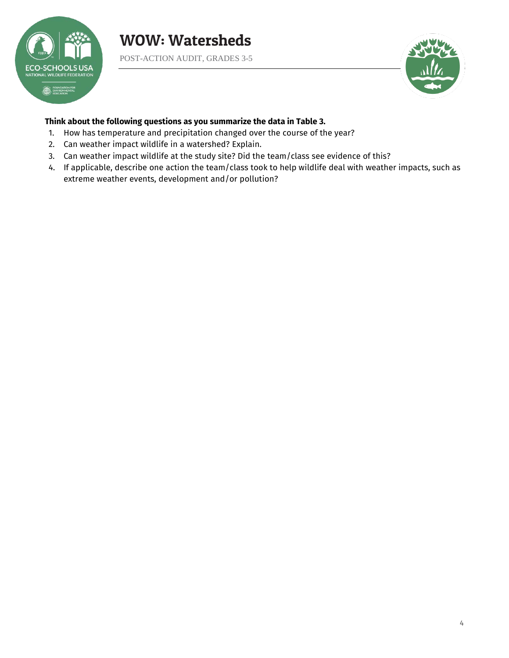

POST-ACTION AUDIT, GRADES 3-5



#### **Think about the following questions as you summarize the data in Table 3.**

- 1. How has temperature and precipitation changed over the course of the year?
- 2. Can weather impact wildlife in a watershed? Explain.
- 3. Can weather impact wildlife at the study site? Did the team/class see evidence of this?
- 4. If applicable, describe one action the team/class took to help wildlife deal with weather impacts, such as extreme weather events, development and/or pollution?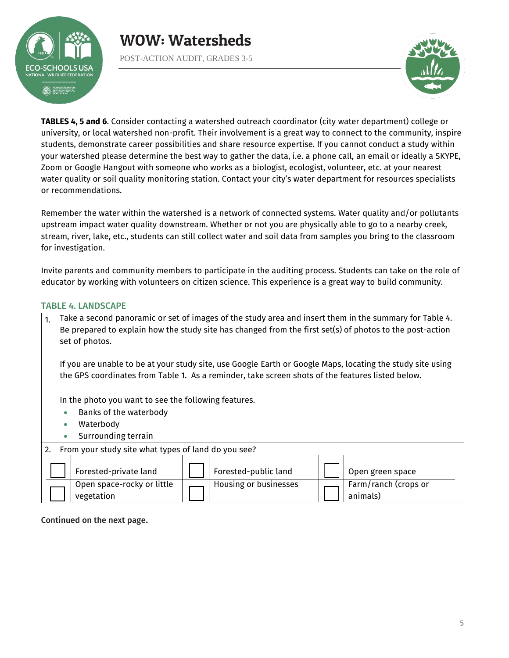

POST-ACTION AUDIT, GRADES 3-5



**TABLES 4, 5 and 6**. Consider contacting a watershed outreach coordinator (city water department) college or university, or local watershed non-profit. Their involvement is a great way to connect to the community, inspire students, demonstrate career possibilities and share resource expertise. If you cannot conduct a study within your watershed please determine the best way to gather the data, i.e. a phone call, an email or ideally a SKYPE, Zoom or Google Hangout with someone who works as a biologist, ecologist, volunteer, etc. at your nearest water quality or soil quality monitoring station. Contact your city's water department for resources specialists or recommendations.

Remember the water within the watershed is a network of connected systems. Water quality and/or pollutants upstream impact water quality downstream. Whether or not you are physically able to go to a nearby creek, stream, river, lake, etc., students can still collect water and soil data from samples you bring to the classroom for investigation.

Invite parents and community members to participate in the auditing process. Students can take on the role of educator by working with volunteers on citizen science. This experience is a great way to build community.

#### TABLE 4. LANDSCAPE

1. Take a second panoramic or set of images of the study area and insert them in the summary for Table 4. Be prepared to explain how the study site has changed from the first set(s) of photos to the post-action set of photos.

If you are unable to be at your study site, use Google Earth or Google Maps, locating the study site using the GPS coordinates from Table 1. As a reminder, take screen shots of the features listed below.

In the photo you want to see the following features.

- Banks of the waterbody
- Waterbody
- Surrounding terrain

| From your study site what types of land do you see? |  |                       |  |                                  |
|-----------------------------------------------------|--|-----------------------|--|----------------------------------|
| Forested-private land                               |  | Forested-public land  |  | Open green space                 |
| Open space-rocky or little<br>vegetation            |  | Housing or businesses |  | Farm/ranch (crops or<br>animals) |

Continued on the next page.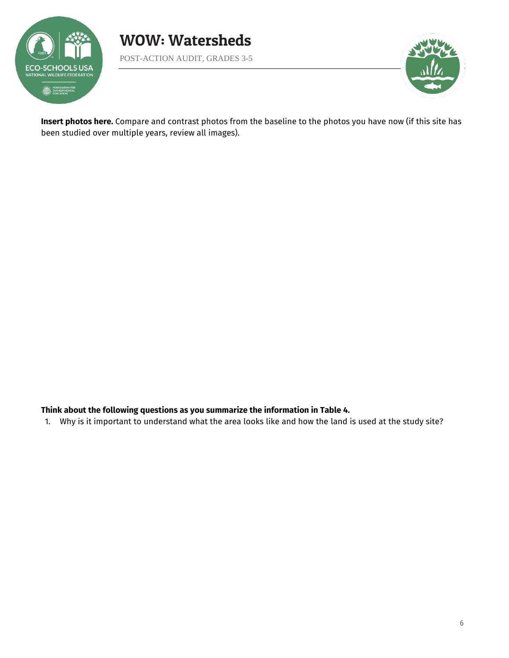



**Insert photos here.** Compare and contrast photos from the baseline to the photos you have now (if this site has been studied over multiple years, review all images).

#### **Think about the following questions as you summarize the information in Table 4.**

1. Why is it important to understand what the area looks like and how the land is used at the study site?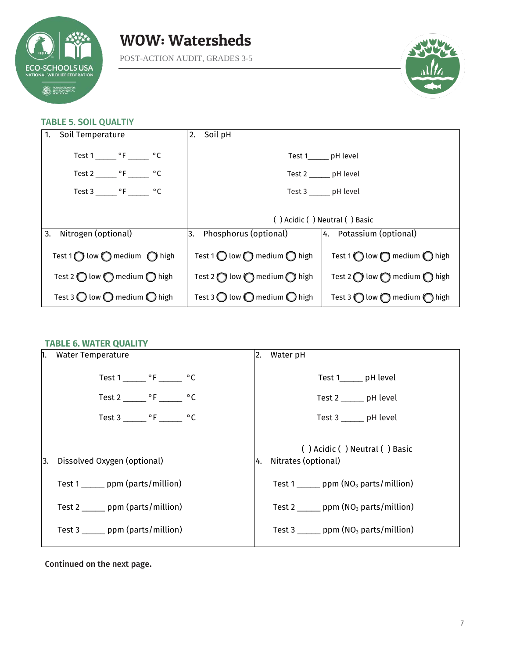

POST-ACTION AUDIT, GRADES 3-5



#### TABLE 5. SOIL QUALTIY

| $\vert$ 1.<br>Soil Temperature                                             | 2. Soil pH                                              |                                                         |
|----------------------------------------------------------------------------|---------------------------------------------------------|---------------------------------------------------------|
| Test $1 \_ {\_}^\circ$ F $\_ \circ$ C                                      |                                                         | Test 1 pH level                                         |
| Test $2 \underline{\hspace{1cm}} \circ F \underline{\hspace{1cm}} \circ C$ |                                                         | Test 2 _______ pH level                                 |
| Test 3 _______ °F _______ °C                                               |                                                         | Test 3 ______ pH level                                  |
|                                                                            |                                                         |                                                         |
|                                                                            |                                                         | () Acidic () Neutral () Basic                           |
| 3.<br>Nitrogen (optional)                                                  | 3. Phosphorus (optional)                                | 4. Potassium (optional)                                 |
| Test 1 $\bigcirc$ low $\bigcirc$ medium $\bigcirc$ high                    | Test 1 $\bigcirc$ low $\bigcirc$ medium $\bigcirc$ high | Test 1 $\bigcirc$ low $\bigcirc$ medium $\bigcirc$ high |
| Test 2 $\bigcirc$ low $\bigcirc$ medium $\bigcirc$ high                    | Test 2 $\bigcirc$ low $\bigcirc$ medium $\bigcirc$ high | Test 2 $\bigcirc$ low $\bigcirc$ medium $\bigcirc$ high |
| Test 3 $\bigcirc$ low $\bigcirc$ medium $\bigcirc$ high                    | Test 3 $\bigcirc$ low $\bigcirc$ medium $\bigcirc$ high | Test 3 $\bigcirc$ low $\bigcirc$ medium $\bigcirc$ high |

#### **TABLE 6. WATER QUALITY**

| 1. Water Temperature                         | Water pH<br>2.                                           |
|----------------------------------------------|----------------------------------------------------------|
| Test 1 ________ $\circ$ F ________ $\circ$ C | Test 1_______ pH level                                   |
| Test 2 $^{\circ}$ F $^{\circ}$ C             | Test 2 _______ pH level                                  |
| Test 3 $^{\circ}$ F $^{\circ}$ C             | Test 3 _______ pH level                                  |
|                                              | () Acidic () Neutral () Basic                            |
| Dissolved Oxygen (optional)<br>13.           | 4. Nitrates (optional)                                   |
| Test 1 _______ ppm (parts/million)           | Test $1$ _______ ppm (NO <sub>3</sub> parts/million)     |
| Test 2 ______ ppm (parts/million)            | Test 2 _______ ppm $(NO3$ parts/million)                 |
| Test 3 ______ ppm (parts/million)            | Test 3 $\frac{1}{2}$ ppm (NO <sub>3</sub> parts/million) |

Continued on the next page.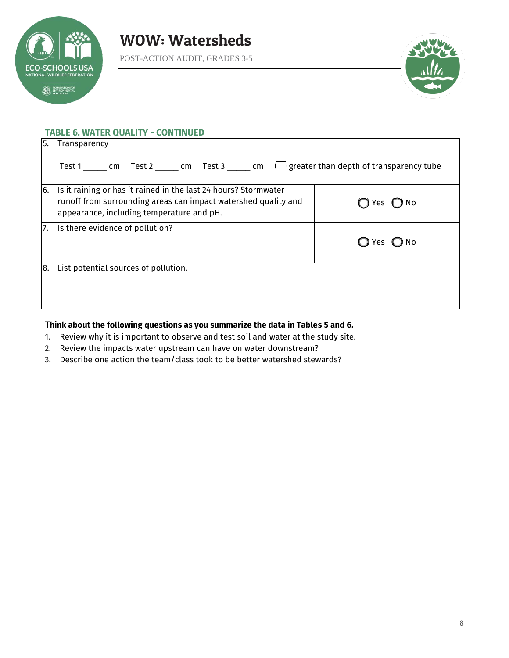

POST-ACTION AUDIT, GRADES 3-5



|    | <b>TABLE 6. WATER QUALITY - CONTINUED</b>                                                                                                                                      |                        |
|----|--------------------------------------------------------------------------------------------------------------------------------------------------------------------------------|------------------------|
| 5. | Transparency                                                                                                                                                                   |                        |
|    | Test 1 ______ cm Test 2 ______ cm Test 3 ______ cm     greater than depth of transparency tube                                                                                 |                        |
| 6. | Is it raining or has it rained in the last 24 hours? Stormwater<br>runoff from surrounding areas can impact watershed quality and<br>appearance, including temperature and pH. | )Yes ◯ No              |
| 7. | Is there evidence of pollution?                                                                                                                                                | <b>O</b> No<br>(J) Yes |
| 8. | List potential sources of pollution.                                                                                                                                           |                        |
|    |                                                                                                                                                                                |                        |

#### T**hink about the following questions as you summarize the data in Tables 5 and 6.**

- 1. Review why it is important to observe and test soil and water at the study site.
- 2. Review the impacts water upstream can have on water downstream?
- 3. Describe one action the team/class took to be better watershed stewards?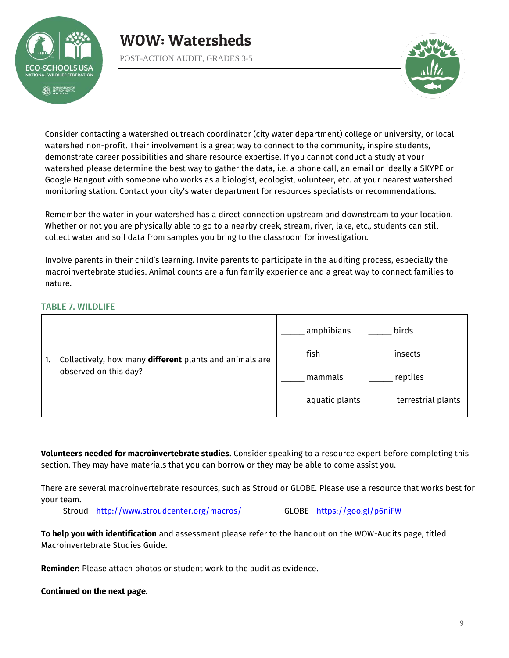

POST-ACTION AUDIT, GRADES 3-5



Consider contacting a watershed outreach coordinator (city water department) college or university, or local watershed non-profit. Their involvement is a great way to connect to the community, inspire students, demonstrate career possibilities and share resource expertise. If you cannot conduct a study at your watershed please determine the best way to gather the data, i.e. a phone call, an email or ideally a SKYPE or Google Hangout with someone who works as a biologist, ecologist, volunteer, etc. at your nearest watershed monitoring station. Contact your city's water department for resources specialists or recommendations.

Remember the water in your watershed has a direct connection upstream and downstream to your location. Whether or not you are physically able to go to a nearby creek, stream, river, lake, etc., students can still collect water and soil data from samples you bring to the classroom for investigation.

Involve parents in their child's learning. Invite parents to participate in the auditing process, especially the macroinvertebrate studies. Animal counts are a fun family experience and a great way to connect families to nature.

#### TABLE 7. WILDLIFE

|                                                         | amphibians<br>birds                  |
|---------------------------------------------------------|--------------------------------------|
| Collectively, how many different plants and animals are | fish<br>insects                      |
| observed on this day?                                   | reptiles<br>mammals                  |
|                                                         | terrestrial plants<br>aquatic plants |

**Volunteers needed for macroinvertebrate studies**. Consider speaking to a resource expert before completing this section. They may have materials that you can borrow or they may be able to come assist you.

There are several macroinvertebrate resources, such as Stroud or GLOBE. Please use a resource that works best for your team.

Stroud -<http://www.stroudcenter.org/macros/>GLOBE -<https://goo.gl/p6niFW>

**To help you with identification** and assessment please refer to the handout on the WOW-Audits page, titled Macroinvertebrate Studies Guide.

**Reminder:** Please attach photos or student work to the audit as evidence.

**Continued on the next page.**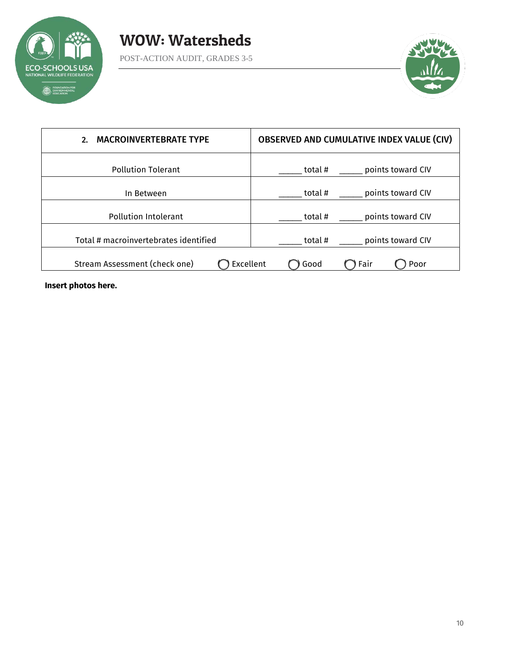



| <b>MACROINVERTEBRATE TYPE</b><br>2.        | <b>OBSERVED AND CUMULATIVE INDEX VALUE (CIV)</b> |  |  |
|--------------------------------------------|--------------------------------------------------|--|--|
| <b>Pollution Tolerant</b>                  | points toward CIV<br>total #                     |  |  |
| In Between                                 | points toward CIV<br>total #                     |  |  |
| Pollution Intolerant                       | points toward CIV<br>total #                     |  |  |
| Total # macroinvertebrates identified      | points toward CIV<br>total #                     |  |  |
| Stream Assessment (check one)<br>Excellent | Fair<br>Good<br>Poor                             |  |  |

**Insert photos here.**